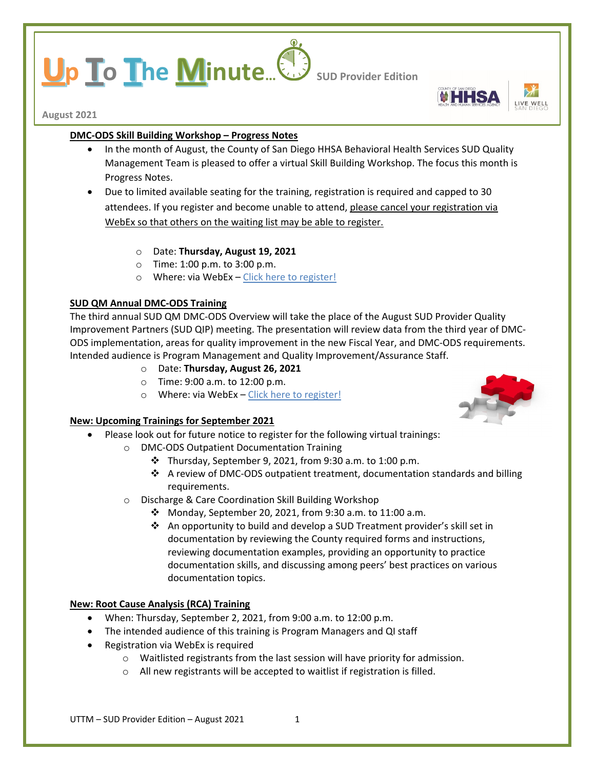# **p To The Minute...** Sub Provider Edition



**August 2021**

## **DMC-ODS Skill Building Workshop – Progress Notes**

- In the month of August, the County of San Diego HHSA Behavioral Health Services SUD Quality Management Team is pleased to offer a virtual Skill Building Workshop. The focus this month is Progress Notes.
- Due to limited available seating for the training, registration is required and capped to 30 attendees. If you register and become unable to attend, please cancel your registration via WebEx so that others on the waiting list may be able to register.
	- o Date: **Thursday, August 19, 2021**
	- o Time: 1:00 p.m. to 3:00 p.m.
	- o Where: via WebEx [Click here to register!](https://sdcountyca.webex.com/mw3300/mywebex/default.do?service=7&main_url=%2Ftc3300%2Ftrainingcenter%2Fdefault.do%3Fsiteurl%3Dsdcountyca%26main_url%3D%252Ftc3300%252Fe.do%253FAT%253DMI%2526%2526Host%253DQUhTSwAAAAUhTO8jHXZaafksCM11bBSuRSFcxiOg_PuBC4R9soAY9IHDOoozTPUce8D4-ekIG0AdrWCbmQ_0pnOjEOME5EqT0%2526MTID%253Dtd8e773a5b98ad191f4c0339a4202c905%2526siteurl%253Dsdcountyca%2526confID%253D201295915456176266%2526ticket%253D4832534b000000057a4781988c78e1e9ce928bd5d0354584fd4f4e9f332397cb7ac63bedcf390660&siteurl=sdcountyca)

# **SUD QM Annual DMC-ODS Training**

The third annual SUD QM DMC-ODS Overview will take the place of the August SUD Provider Quality Improvement Partners (SUD QIP) meeting. The presentation will review data from the third year of DMC-ODS implementation, areas for quality improvement in the new Fiscal Year, and DMC-ODS requirements. Intended audience is Program Management and Quality Improvement/Assurance Staff.

- o Date: **Thursday, August 26, 2021**
- o Time: 9:00 a.m. to 12:00 p.m.
- o Where: via WebEx [Click here to register!](https://sdcountyca.webex.com/mw3300/mywebex/default.do?nomenu=true&siteurl=sdcountyca&service=6&rnd=0.3266372257692298&main_url=https%3A%2F%2Fsdcountyca.webex.com%2Fec3300%2Feventcenter%2Fevent%2FeventAction.do%3FtheAction%3Ddetail%26%26%26EMK%3D4832534b0000000535a820a2f180db1c5b99997e70907ea2738a1e6c7079ed75106f26551fbffd60%26siteurl%3Dsdcountyca%26confViewID%3D197946991862391454%26encryptTicket%3DSDJTSwAAAAXJtd9zWXXK5rTWQ3aNGZcpEB3SIp_1S2Nn5Pn6asYRlw2%26)

## **New: Upcoming Trainings for September 2021**

- Please look out for future notice to register for the following virtual trainings:
	- o DMC-ODS Outpatient Documentation Training
		- $\div$  Thursday, September 9, 2021, from 9:30 a.m. to 1:00 p.m.
		- $\div$  A review of DMC-ODS outpatient treatment, documentation standards and billing requirements.
	- o Discharge & Care Coordination Skill Building Workshop
		- Monday, September 20, 2021, from 9:30 a.m. to 11:00 a.m.
		- $\triangle$  An opportunity to build and develop a SUD Treatment provider's skill set in documentation by reviewing the County required forms and instructions, reviewing documentation examples, providing an opportunity to practice documentation skills, and discussing among peers' best practices on various documentation topics.

## **New: Root Cause Analysis (RCA) Training**

- When: Thursday, September 2, 2021, from 9:00 a.m. to 12:00 p.m.
- The intended audience of this training is Program Managers and QI staff
- Registration via WebEx is required
	- o Waitlisted registrants from the last session will have priority for admission.
	- o All new registrants will be accepted to waitlist if registration is filled.

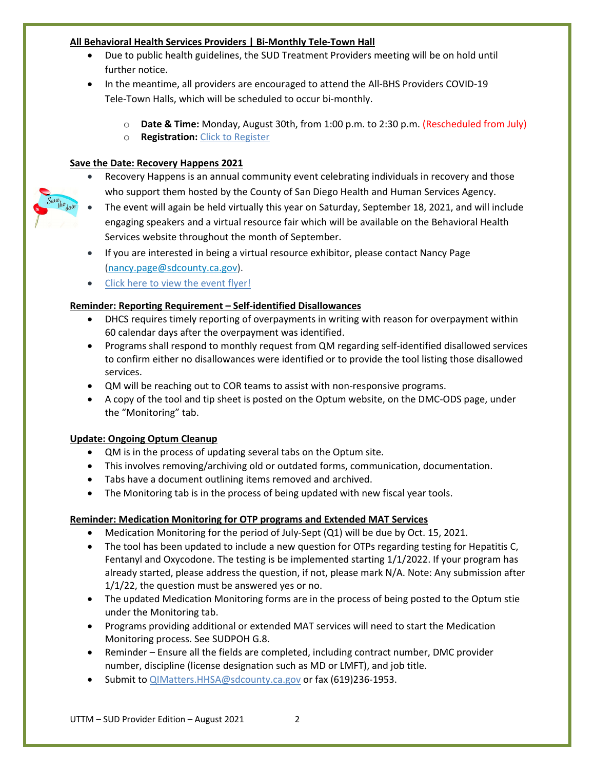## **All Behavioral Health Services Providers | Bi-Monthly Tele-Town Hall**

- Due to public health guidelines, the SUD Treatment Providers meeting will be on hold until further notice.
- In the meantime, all providers are encouraged to attend the All-BHS Providers COVID-19 Tele-Town Halls, which will be scheduled to occur bi-monthly.
	- o **Date & Time:** Monday, August 30th, from 1:00 p.m. to 2:30 p.m. (Rescheduled from July)
	- o **Registration:** [Click to Register](https://sdcountyca.webex.com/sdcountyca/onstage/g.php?MTID=e7dc713aafc74c7b7712fbf23895052b5)

# **Save the Date: Recovery Happens 2021**

- Recovery Happens is an annual community event celebrating individuals in recovery and those who support them hosted by the County of San Diego Health and Human Services Agency.
- The event will again be held virtually this year on Saturday, September 18, 2021, and will include engaging speakers and a virtual resource fair which will be available on the Behavioral Health Services website throughout the month of September.
- If you are interested in being a virtual resource exhibitor, please contact Nancy Page [\(nancy.page@sdcounty.ca.gov\)](mailto:nancy.page@sdcounty.ca.gov).
- [Click here to view the event flyer!](https://www.sandiegocounty.gov/content/dam/sdc/hhsa/programs/bhs/pce/rh_save_the_date.pdf)

# **Reminder: Reporting Requirement – Self-identified Disallowances**

- DHCS requires timely reporting of overpayments in writing with reason for overpayment within 60 calendar days after the overpayment was identified.
- Programs shall respond to monthly request from QM regarding self-identified disallowed services to confirm either no disallowances were identified or to provide the tool listing those disallowed services.
- QM will be reaching out to COR teams to assist with non-responsive programs.
- A copy of the tool and tip sheet is posted on the Optum website, on the DMC-ODS page, under the "Monitoring" tab.

# **Update: Ongoing Optum Cleanup**

- QM is in the process of updating several tabs on the Optum site.
- This involves removing/archiving old or outdated forms, communication, documentation.
- Tabs have a document outlining items removed and archived.
- The Monitoring tab is in the process of being updated with new fiscal year tools.

# **Reminder: Medication Monitoring for OTP programs and Extended MAT Services**

- Medication Monitoring for the period of July-Sept (Q1) will be due by Oct. 15, 2021.
- The tool has been updated to include a new question for OTPs regarding testing for Hepatitis C, Fentanyl and Oxycodone. The testing is be implemented starting 1/1/2022. If your program has already started, please address the question, if not, please mark N/A. Note: Any submission after 1/1/22, the question must be answered yes or no.
- The updated Medication Monitoring forms are in the process of being posted to the Optum stie under the Monitoring tab.
- Programs providing additional or extended MAT services will need to start the Medication Monitoring process. See SUDPOH G.8.
- Reminder Ensure all the fields are completed, including contract number, DMC provider number, discipline (license designation such as MD or LMFT), and job title.
- Submit to [QIMatters.HHSA@sdcounty.ca.gov](mailto:QIMatters.HHSA@sdcounty.ca.gov) or fax (619)236-1953.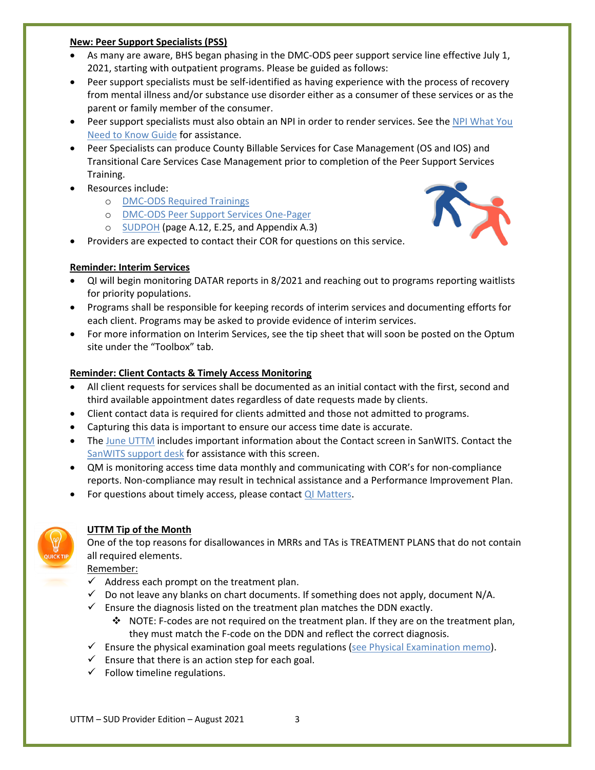## **New: Peer Support Specialists (PSS)**

- As many are aware, BHS began phasing in the DMC-ODS peer support service line effective July 1, 2021, starting with outpatient programs. Please be guided as follows:
- Peer support specialists must be self-identified as having experience with the process of recovery from mental illness and/or substance use disorder either as a consumer of these services or as the parent or family member of the consumer.
- Peer support specialists must also obtain an NPI in order to render services. See the NPI What You [Need to Know Guide](https://www.cms.gov/Outreach-and-Education/Medicare-Learning-Network-MLN/MLNProducts/Downloads/NPI-What-You-Need-To-Know.pdf) for assistance.
- Peer Specialists can produce County Billable Services for Case Management (OS and IOS) and Transitional Care Services Case Management prior to completion of the Peer Support Services Training.
- Resources include:
	- o [DMC-ODS Required Trainings](https://www.sandiegocounty.gov/content/sdc/hhsa/programs/bhs/dmc_ods/dmc_ods_provider/dmc_ods_quick_reference_training_guide.html)
	- o [DMC-ODS Peer Support Services One-Pager](https://www.optumsandiego.com/content/dam/san-diego/documents/dmc-ods/peer-support/DMC-ODS%20Peer%20Support%20Services%207-1-2021.pdf)
	- o [SUDPOH](https://www.optumsandiego.com/content/dam/san-diego/documents/dmc-ods/aodpoh/SUDPOH_updated_-_5-25-21.pdf) (page A.12, E.25, and Appendix A.3)
- Providers are expected to contact their COR for questions on this service.

## **Reminder: Interim Services**

- QI will begin monitoring DATAR reports in 8/2021 and reaching out to programs reporting waitlists for priority populations.
- Programs shall be responsible for keeping records of interim services and documenting efforts for each client. Programs may be asked to provide evidence of interim services.
- For more information on Interim Services, see the tip sheet that will soon be posted on the Optum site under the "Toolbox" tab.

## **Reminder: Client Contacts & Timely Access Monitoring**

- All client requests for services shall be documented as an initial contact with the first, second and third available appointment dates regardless of date requests made by clients.
- Client contact data is required for clients admitted and those not admitted to programs.
- Capturing this data is important to ensure our access time date is accurate.
- The [June UTTM](https://www.optumsandiego.com/content/dam/san-diego/documents/dmc-ods/uttm/SUD_Up_to_the_Minute_-_June_2021.pdf) includes important information about the Contact screen in SanWITS. Contact the [SanWITS support desk](mailto:SUD_MIS_Support.HHSA@sdcounty.ca.gov) for assistance with this screen.
- QM is monitoring access time data monthly and communicating with COR's for non-compliance reports. Non-compliance may result in technical assistance and a Performance Improvement Plan.
- For questions about timely access, please contact [QI Matters.](mailto:QIMatters.hhsa@sdcounty.ca.gov)



## **UTTM Tip of the Month**

One of the top reasons for disallowances in MRRs and TAs is TREATMENT PLANS that do not contain all required elements.

Remember:

- $\checkmark$  Address each prompt on the treatment plan.
- $\checkmark$  Do not leave any blanks on chart documents. If something does not apply, document N/A.
- $\checkmark$  Ensure the diagnosis listed on the treatment plan matches the DDN exactly.
	- $\div$  NOTE: F-codes are not required on the treatment plan. If they are on the treatment plan, they must match the F-code on the DDN and reflect the correct diagnosis.
- $\checkmark$  Ensure the physical examination goal meets regulations [\(see Physical Examination memo\)](https://optumsandiego.com/content/dam/san-diego/documents/dmc-ods/communications/QM_Memo_-_Physical_Exam_Requirements.pdf).
- $\checkmark$  Ensure that there is an action step for each goal.
- $\checkmark$  Follow timeline regulations.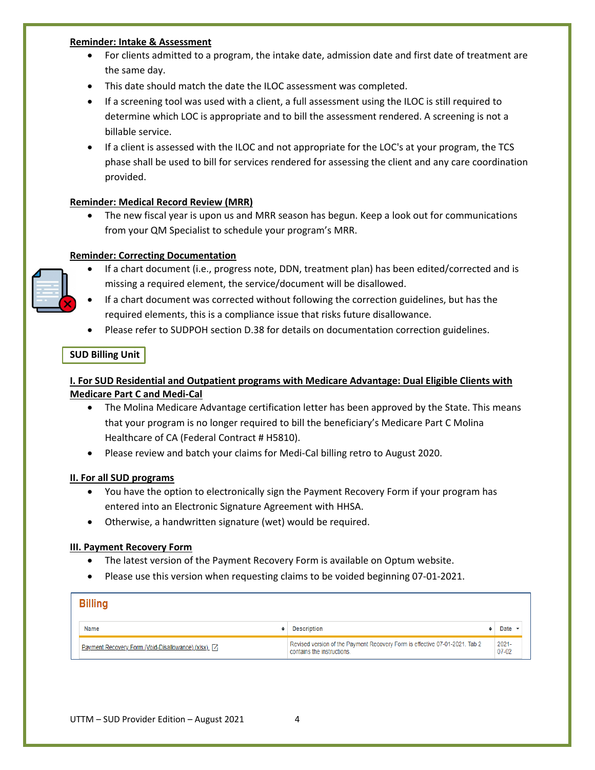#### **Reminder: Intake & Assessment**

- For clients admitted to a program, the intake date, admission date and first date of treatment are the same day.
- This date should match the date the ILOC assessment was completed.
- If a screening tool was used with a client, a full assessment using the ILOC is still required to determine which LOC is appropriate and to bill the assessment rendered. A screening is not a billable service.
- If a client is assessed with the ILOC and not appropriate for the LOC's at your program, the TCS phase shall be used to bill for services rendered for assessing the client and any care coordination provided.

## **Reminder: Medical Record Review (MRR)**

• The new fiscal year is upon us and MRR season has begun. Keep a look out for communications from your QM Specialist to schedule your program's MRR.

## **Reminder: Correcting Documentation**



- If a chart document (i.e., progress note, DDN, treatment plan) has been edited/corrected and is missing a required element, the service/document will be disallowed.
- If a chart document was corrected without following the correction guidelines, but has the required elements, this is a compliance issue that risks future disallowance.
- Please refer to SUDPOH section D.38 for details on documentation correction guidelines.

## **SUD Billing Unit**

# **I. For SUD Residential and Outpatient programs with Medicare Advantage: Dual Eligible Clients with Medicare Part C and Medi-Cal**

- The Molina Medicare Advantage certification letter has been approved by the State. This means that your program is no longer required to bill the beneficiary's Medicare Part C Molina Healthcare of CA (Federal Contract # H5810).
- Please review and batch your claims for Medi-Cal billing retro to August 2020.

## **II. For all SUD programs**

- You have the option to electronically sign the Payment Recovery Form if your program has entered into an Electronic Signature Agreement with HHSA.
- Otherwise, a handwritten signature (wet) would be required.

## **III. Payment Recovery Form**

- The latest version of the Payment Recovery Form is available on Optum website.
- Please use this version when requesting claims to be voided beginning 07-01-2021.

| <b>Billing</b>                                       |                                                                                                           |                       |  |  |  |
|------------------------------------------------------|-----------------------------------------------------------------------------------------------------------|-----------------------|--|--|--|
| <b>Name</b>                                          | <b>Description</b>                                                                                        | Date                  |  |  |  |
| Payment Recovery Form (Void-Disallowance) (xlsx) [7] | Revised version of the Payment Recovery Form is effective 07-01-2021. Tab 2<br>contains the instructions. | $2021 -$<br>$07 - 02$ |  |  |  |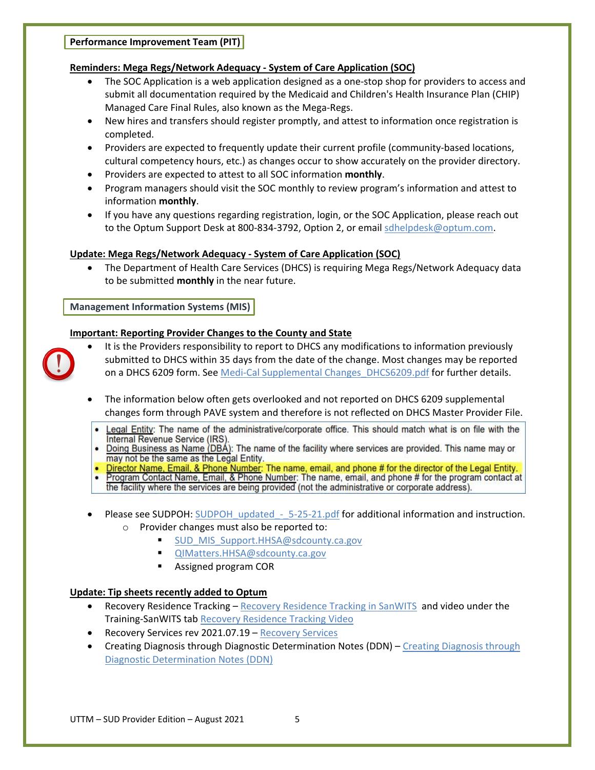# **Reminders: Mega Regs/Network Adequacy - System of Care Application (SOC)**

- The SOC Application is a web application designed as a one-stop shop for providers to access and submit all documentation required by the Medicaid and Children's Health Insurance Plan (CHIP) Managed Care Final Rules, also known as the Mega-Regs.
- New hires and transfers should register promptly, and attest to information once registration is completed.
- Providers are expected to frequently update their current profile (community-based locations, cultural competency hours, etc.) as changes occur to show accurately on the provider directory.
- Providers are expected to attest to all SOC information **monthly**.
- Program managers should visit the SOC monthly to review program's information and attest to information **monthly**.
- If you have any questions regarding registration, login, or the SOC Application, please reach out to the Optum Support Desk at 800-834-3792, Option 2, or email [sdhelpdesk@optum.com.](mailto:sdhelpdesk@optum.com)

# **Update: Mega Regs/Network Adequacy - System of Care Application (SOC)**

• The Department of Health Care Services (DHCS) is requiring Mega Regs/Network Adequacy data to be submitted **monthly** in the near future.

**Management Information Systems (MIS)**

# **Important: Reporting Provider Changes to the County and State**

- 
- It is the Providers responsibility to report to DHCS any modifications to information previously submitted to DHCS within 35 days from the date of the change. Most changes may be reported on a DHCS 6209 form. See Medi-Cal Supplemental Changes DHCS6209.pdf for further details.
- The information below often gets overlooked and not reported on DHCS 6209 supplemental changes form through PAVE system and therefore is not reflected on DHCS Master Provider File.
	- Legal Entity: The name of the administrative/corporate office. This should match what is on file with the Internal Revenue Service (IRS)
- Doing Business as Name (DBA): The name of the facility where services are provided. This name may or may not be the same as the Legal Entity.
- Director Name, Email, & Phone Number: The name, email, and phone # for the director of the Legal Entity.
- Program Contact Name, Email, & Phone Number: The name, email, and phone # for the program contact at the facility where the services are being provided (not the administrative or corporate address).
- Please see SUDPOH: SUDPOH\_updated 5-25-21.pdf for additional information and instruction. o Provider changes must also be reported to:
	- - [SUD\\_MIS\\_Support.HHSA@sdcounty.ca.gov](mailto:SUD_MIS_Support.HHSA@sdcounty.ca.gov)
		- [QIMatters.HHSA@sdcounty.ca.gov](mailto:QIMatters.HHSA@sdcounty.ca.gov)
		- **Assigned program COR**

# **Update: Tip sheets recently added to Optum**

- Recovery Residence Tracking [Recovery Residence Tracking in SanWITS](https://www.optumsandiego.com/content/dam/san-diego/documents/dmc-ods/sanwits/Tip_Sheet_-_Recovery_Residence_Tracking%20_2021.06.23.pdf) and video under the Training-SanWITS tab [Recovery Residence Tracking Video](https://www.optumsandiego.com/content/SanDiego/sandiego/en/county-staff---providers/dmc-ods/rrsanwits.html)
- Recovery Services rev 2021.07.19 [Recovery Services](https://www.optumsandiego.com/content/dam/san-diego/documents/dmc-ods/sanwits/Tip_Sheet_-_Recovery_Services_2021.07.19.pdf)
- [Creating Diagnosis through](https://www.optumsandiego.com/content/dam/san-diego/documents/dmc-ods/sanwits/Tip_Sheet_-_Creating_Diagnosis_through_Diagnostic_Determination_Notes_DDN_-_rev%202021.08.04.pdf) Diagnostic Determination Notes (DDN) Creating Diagnosis through [Diagnostic Determination Notes \(DDN\)](https://www.optumsandiego.com/content/dam/san-diego/documents/dmc-ods/sanwits/Tip_Sheet_-_Creating_Diagnosis_through_Diagnostic_Determination_Notes_DDN_-_rev%202021.08.04.pdf)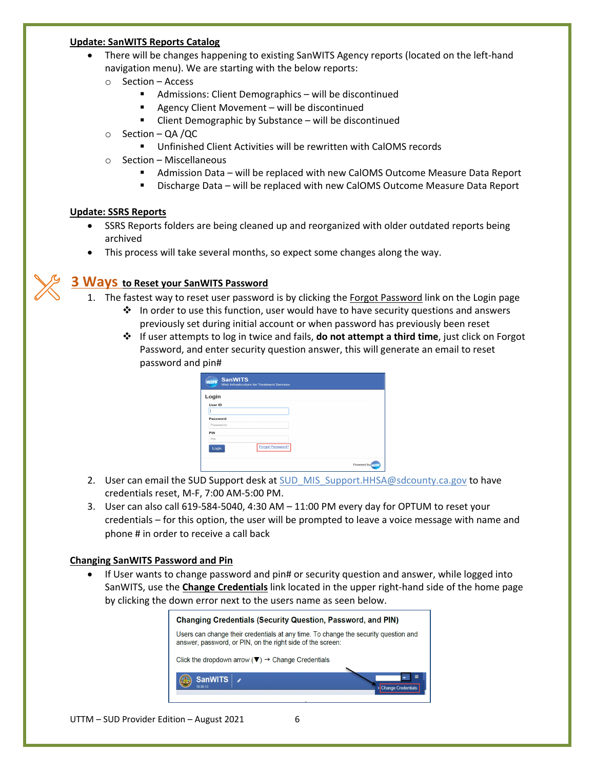#### **Update: SanWITS Reports Catalog**

- There will be changes happening to existing SanWITS Agency reports (located on the left-hand navigation menu). We are starting with the below reports:
	- o Section Access
		- Admissions: Client Demographics will be discontinued
		- Agency Client Movement will be discontinued
		- Client Demographic by Substance will be discontinued
	- o Section QA /QC
		- Unfinished Client Activities will be rewritten with CalOMS records
	- o Section Miscellaneous
		- Admission Data will be replaced with new CalOMS Outcome Measure Data Report
		- Discharge Data will be replaced with new CalOMS Outcome Measure Data Report

## **Update: SSRS Reports**

- SSRS Reports folders are being cleaned up and reorganized with older outdated reports being archived
- This process will take several months, so expect some changes along the way.

# **3 Ways to Reset your SanWITS Password**

- 1. The fastest way to reset user password is by clicking the Forgot Password link on the Login page
	- $\cdot \cdot$  In order to use this function, user would have to have security questions and answers previously set during initial account or when password has previously been reset
	- If user attempts to log in twice and fails, **do not attempt a third time**, just click on Forgot Password, and enter security question answer, this will generate an email to reset password and pin#

| <b>SanWITS</b><br><b>WITS</b> | Web Infrastructure for Treatment Services |                 |
|-------------------------------|-------------------------------------------|-----------------|
| Login                         |                                           |                 |
| User ID                       |                                           |                 |
|                               |                                           |                 |
| Password                      |                                           |                 |
| Password                      |                                           |                 |
| PIN                           |                                           |                 |
| Pin                           |                                           |                 |
| Login                         | <b>Forgot Password?</b>                   |                 |
|                               |                                           | Powered by VITS |

- 2. User can email the SUD Support desk at [SUD\\_MIS\\_Support.HHSA@sdcounty.ca.gov](mailto:SUD_MIS_Support.HHSA@sdcounty.ca.gov) to have credentials reset, M-F, 7:00 AM-5:00 PM.
- 3. User can also call 619-584-5040, 4:30 AM 11:00 PM every day for OPTUM to reset your credentials – for this option, the user will be prompted to leave a voice message with name and phone # in order to receive a call back

## **Changing SanWITS Password and Pin**

• If User wants to change password and pin# or security question and answer, while logged into SanWITS, use the **Change Credentials** link located in the upper right-hand side of the home page by clicking the down error next to the users name as seen below.

| <b>Changing Credentials (Security Question, Password, and PIN)</b>                                                                                |  |  |  |  |
|---------------------------------------------------------------------------------------------------------------------------------------------------|--|--|--|--|
| Users can change their credentials at any time. To change the security question and<br>answer, password, or PIN, on the right side of the screen: |  |  |  |  |
| Click the dropdown arrow ( $\nabla$ ) $\rightarrow$ Change Credentials                                                                            |  |  |  |  |
| Ξ<br><b>SanWITS</b><br><b>Change Credentials</b>                                                                                                  |  |  |  |  |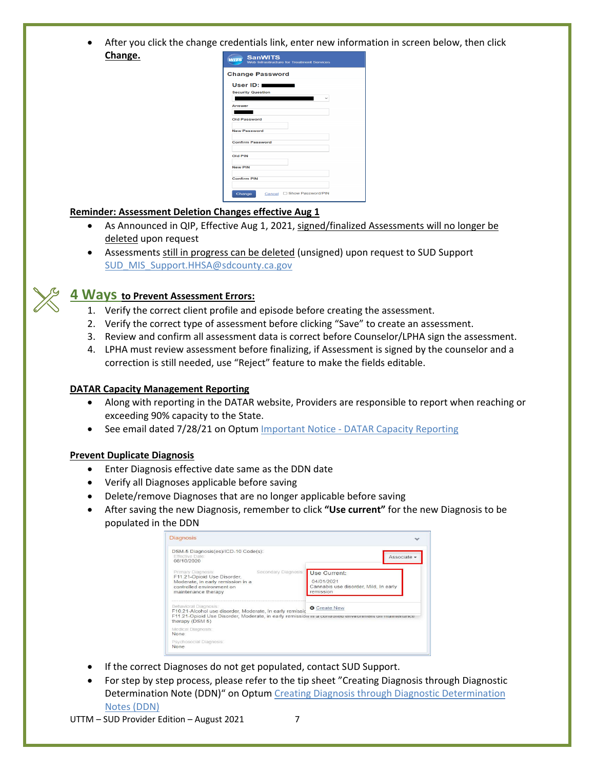• After you click the change credentials link, enter new information in screen below, then click **Change.**

| UserID:                  |  |  |
|--------------------------|--|--|
| <b>Security Question</b> |  |  |
|                          |  |  |
| Answer                   |  |  |
|                          |  |  |
| Old Password             |  |  |
| <b>New Password</b>      |  |  |
| <b>Confirm Password</b>  |  |  |
| Old PIN                  |  |  |
| <b>New PIN</b>           |  |  |
| <b>Confirm PIN</b>       |  |  |

## **Reminder: Assessment Deletion Changes effective Aug 1**

- As Announced in QIP, Effective Aug 1, 2021, signed/finalized Assessments will no longer be deleted upon request
- Assessments still in progress can be deleted (unsigned) upon request to SUD Support [SUD\\_MIS\\_Support.HHSA@sdcounty.ca.gov](mailto:SUD_MIS_Support.HHSA@sdcounty.ca.gov)

# **4 Ways to Prevent Assessment Errors:**

- 1. Verify the correct client profile and episode before creating the assessment.
- 2. Verify the correct type of assessment before clicking "Save" to create an assessment.
- 3. Review and confirm all assessment data is correct before Counselor/LPHA sign the assessment.
- 4. LPHA must review assessment before finalizing, if Assessment is signed by the counselor and a correction is still needed, use "Reject" feature to make the fields editable.

## **DATAR Capacity Management Reporting**

- Along with reporting in the DATAR website, Providers are responsible to report when reaching or exceeding 90% capacity to the State.
- See email dated 7/28/21 on Optum Important Notice [DATAR Capacity Reporting](https://www.optumsandiego.com/content/dam/san-diego/documents/dmc-ods/sanwits/FW%20Important%20Notice%20-%20DATAR%20Capacity%20Reporting.msg)

## **Prevent Duplicate Diagnosis**

- Enter Diagnosis effective date same as the DDN date
- Verify all Diagnoses applicable before saving
- Delete/remove Diagnoses that are no longer applicable before saving
- After saving the new Diagnosis, remember to click **"Use current"** for the new Diagnosis to be populated in the DDN

| <b>Diagnosis</b>                                                                                                                                                                                            |                                                                                  |
|-------------------------------------------------------------------------------------------------------------------------------------------------------------------------------------------------------------|----------------------------------------------------------------------------------|
| DSM-5 Diagnosis(es)/ICD-10 Code(s):<br><b>Effective Date:</b><br>08/10/2020                                                                                                                                 | Associate -                                                                      |
| Secondary Diagnosis:<br>Primary Diagnosis:<br>F11.21-Opioid Use Disorder,<br>Moderate, in early remission in a<br>controlled environment on<br>maintenance therapy                                          | Use Current:<br>04/01/2021<br>Cannabis use disorder, Mild, In early<br>remission |
| Behavioral Diagnosis:<br>F10.21-Alcohol use disorder, Moderate, In early remissic<br>F11.21-Opioid Use Disorder, Moderate, in early remission in a controlled environment on maintenance<br>therapy (DSM 5) | <b>G</b> Create New                                                              |
| Medical Diagnosis:<br>None                                                                                                                                                                                  |                                                                                  |
| Psychosocial Diagnosis:<br>None                                                                                                                                                                             |                                                                                  |

- If the correct Diagnoses do not get populated, contact SUD Support.
- For step by step process, please refer to the tip sheet "Creating Diagnosis through Diagnostic Determination Note (DDN)" on Optu[m Creating Diagnosis through Diagnostic Determination](https://www.optumsandiego.com/content/dam/san-diego/documents/dmc-ods/sanwits/Tip_Sheet_-_Creating_Diagnosis_through_Diagnostic_Determination_Notes_DDN_-_rev%202021.08.04.pdf)  [Notes \(DDN\)](https://www.optumsandiego.com/content/dam/san-diego/documents/dmc-ods/sanwits/Tip_Sheet_-_Creating_Diagnosis_through_Diagnostic_Determination_Notes_DDN_-_rev%202021.08.04.pdf)

#### UTTM – SUD Provider Edition – August 2021 7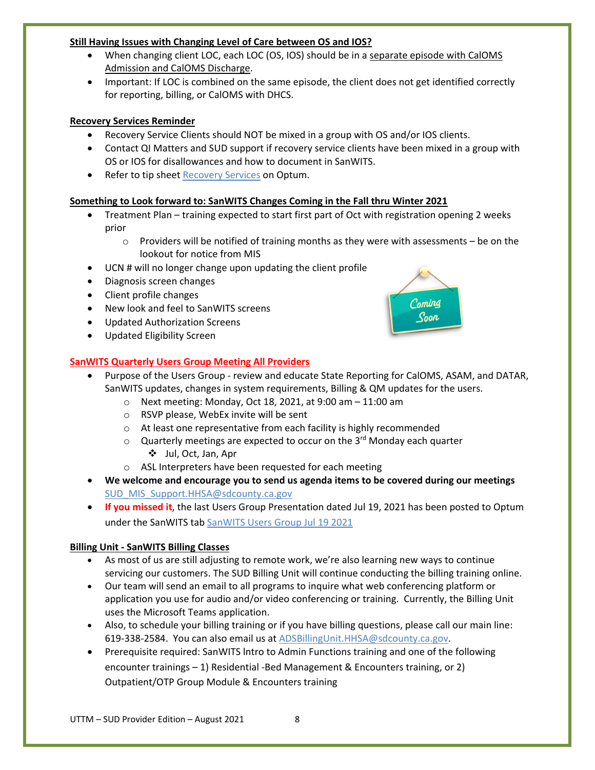## **Still Having Issues with Changing Level of Care between OS and IOS?**

- When changing client LOC, each LOC (OS, IOS) should be in a separate episode with CalOMS Admission and CalOMS Discharge.
- Important: If LOC is combined on the same episode, the client does not get identified correctly for reporting, billing, or CalOMS with DHCS.

## **Recovery Services Reminder**

- Recovery Service Clients should NOT be mixed in a group with OS and/or IOS clients.
- Contact QI Matters and SUD support if recovery service clients have been mixed in a group with OS or IOS for disallowances and how to document in SanWITS.
- Refer to tip sheet [Recovery Services](https://www.optumsandiego.com/content/dam/san-diego/documents/dmc-ods/sanwits/Tip_Sheet_-_Recovery_Services_2021.07.19.pdf) on Optum.

## **Something to Look forward to: SanWITS Changes Coming in the Fall thru Winter 2021**

- Treatment Plan training expected to start first part of Oct with registration opening 2 weeks prior
	- $\circ$  Providers will be notified of training months as they were with assessments be on the lookout for notice from MIS
- UCN # will no longer change upon updating the client profile
- Diagnosis screen changes
- Client profile changes
- New look and feel to SanWITS screens
- Updated Authorization Screens
- Updated Eligibility Screen

# **SanWITS Quarterly Users Group Meeting All Providers**

- Purpose of the Users Group review and educate State Reporting for CalOMS, ASAM, and DATAR, SanWITS updates, changes in system requirements, Billing & QM updates for the users.
	- o Next meeting: Monday, Oct 18, 2021, at 9:00 am 11:00 am
	- o RSVP please, WebEx invite will be sent
	- o At least one representative from each facility is highly recommended
	- $\circ$  Quarterly meetings are expected to occur on the 3<sup>rd</sup> Monday each quarter Jul, Oct, Jan, Apr
	- o ASL Interpreters have been requested for each meeting
- **We welcome and encourage you to send us agenda items to be covered during our meetings** [SUD\\_MIS\\_Support.HHSA@sdcounty.ca.gov](mailto:SUD_MIS_Support.HHSA@sdcounty.ca.gov)
- **If you missed it**, the last Users Group Presentation dated Jul 19, 2021 has been posted to Optum under the SanWITS tab SanWITS Users [Group Jul 19 2021](https://www.optumsandiego.com/content/dam/san-diego/documents/dmc-ods/sanwits/SanWITS%20Usesrs%20Group%20Jul%2019%202021.msg)

# **Billing Unit - SanWITS Billing Classes**

- As most of us are still adjusting to remote work, we're also learning new ways to continue servicing our customers. The SUD Billing Unit will continue conducting the billing training online.
- Our team will send an email to all programs to inquire what web conferencing platform or application you use for audio and/or video conferencing or training. Currently, the Billing Unit uses the Microsoft Teams application.
- Also, to schedule your billing training or if you have billing questions, please call our main line: 619-338-2584. You can also email us at [ADSBillingUnit.HHSA@sdcounty.ca.gov.](mailto:ADSBillingUnit.HHSA@sdcounty.ca.gov)
- Prerequisite required: SanWITS lntro to Admin Functions training and one of the following encounter trainings – 1) Residential -Bed Management & Encounters training, or 2) Outpatient/OTP Group Module & Encounters training